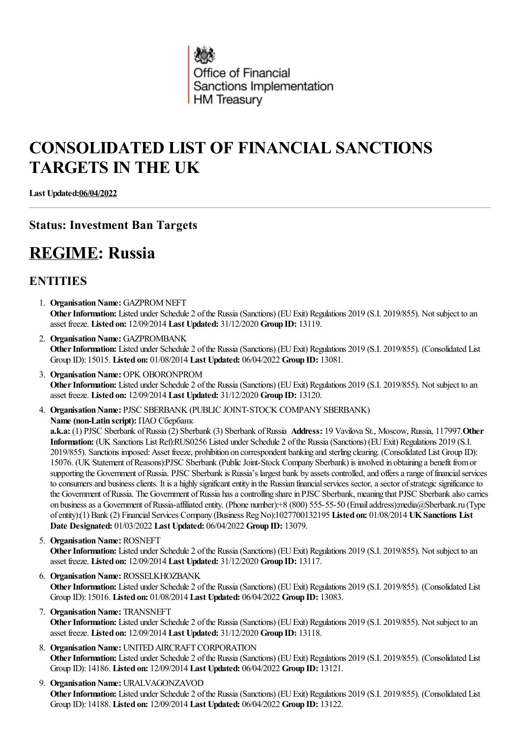

# **CONSOLIDATED LIST OF FINANCIAL SANCTIONS TARGETS IN THE UK**

**Last Updated:06/04/2022**

## **Status: Investment Ban Targets**

## **REGIME: Russia**

## **ENTITIES**

- 1. **Organisation Name:** GAZPROM NEFT **Other Information:** Listed under Schedule 2 of the Russia (Sanctions) (EU Exit) Regulations 2019 (S.I. 2019/855). Not subject to an asset freeze. **Listed on:** 12/09/2014 **Last Updated:** 31/12/2020 **Group ID:** 13119.
- 2. Organisation Name: GAZPROMBANK Other Information: Listed under Schedule 2 of the Russia (Sanctions) (EU Exit) Regulations 2019 (S.I. 2019/855). (Consolidated List Group ID): 15015. **Listed on:** 01/08/2014 **Last Updated:** 06/04/2022 **Group ID:** 13081.
- 3. **Organisation Name:** OPK OBORONPROM Other Information: Listed under Schedule 2 of the Russia (Sanctions) (EU Exit) Regulations 2019 (S.I. 2019/855). Not subject to an asset freeze. **Listed on:** 12/09/2014 **Last Updated:** 31/12/2020 **Group ID:** 13120.
- 4. **Organisation Name: PJSC SBERBANK (PUBLIC JOINT-STOCK COMPANY SBERBANK) Name (non-Latin script):** ПАО Сбербанк **a.k.a:** (1) PJSC Sberbank ofRussia(2) Sberbank (3) Sberbank ofRussia **Address:** 19 Vavilova St., Moscow, Russia, 117997.**Other Information:** (UK Sanctions List Ref):RUS0256 Listed under Schedule 2 ofthe Russia(Sanctions) (EUExit) Regulations 2019 (S.I. 2019/855). Sanctions imposed:Asset freeze, prohibition on correspondent banking and sterling clearing. (Consolidated List Group ID):

15076. (UK Statement ofReasons):PJSC Sberbank (PublicJoint-Stock Company Sberbank) is involved in obtaining a benefit fromor supporting the Government of Russia. PJSC Sberbank is Russia's largest bank by assets controlled, and offers a range of financial services to consumers and business clients. It is a highly significant entity in the Russian financial services sector, a sector of strategic significance to the Government of Russia. The Government of Russia has a controlling share in PJSC Sberbank, meaning that PJSC Sberbank also carries on business as a Government of Russia-affiliated entity. (Phone number):+8 (800) 555-55-50 (Email address):media@Sberbank.ru (Type ofentity):(1) Bank (2) FinancialServices Company (Business RegNo):1027700132195 **Listed on:** 01/08/2014 **UKSanctions List Date Designated:** 01/03/2022 **Last Updated:** 06/04/2022 **Group ID:** 13079.

- 5. **Organisation Name: ROSNEFT Other Information:** Listed under Schedule 2 of the Russia (Sanctions) (EU Exit) Regulations 2019 (S.I. 2019/855). Not subject to an asset freeze. **Listed on:** 12/09/2014 **Last Updated:** 31/12/2020 **Group ID:** 13117.
- 6. **OrganisationName:** ROSSELKHOZBANK Other Information: Listed under Schedule 2 of the Russia (Sanctions) (EU Exit) Regulations 2019 (S.I. 2019/855). (Consolidated List Group ID): 15016. **Listed on:** 01/08/2014 **Last Updated:** 06/04/2022 **Group ID:** 13083.
- 7. **Organisation Name: TRANSNEFT** Other Information: Listed under Schedule 2 of the Russia (Sanctions) (EU Exit) Regulations 2019 (S.I. 2019/855). Not subject to an asset freeze. **Listed on:** 12/09/2014 **Last Updated:** 31/12/2020 **Group ID:** 13118.
- 8. **Organisation Name:** UNITED AIRCRAFT CORPORATION **Other Information:** Listed under Schedule 2 of the Russia (Sanctions) (EU Exit) Regulations 2019 (S.I. 2019/855). (Consolidated List Group ID): 14186. **Listed on:** 12/09/2014 **Last Updated:** 06/04/2022 **Group ID:** 13121.
- 9. **Organisation Name: URALVAGONZAVOD** Other Information: Listed under Schedule 2 of the Russia (Sanctions) (EU Exit) Regulations 2019 (S.I. 2019/855). (Consolidated List Group ID): 14188. **Listed on:** 12/09/2014 **Last Updated:** 06/04/2022 **Group ID:** 13122.